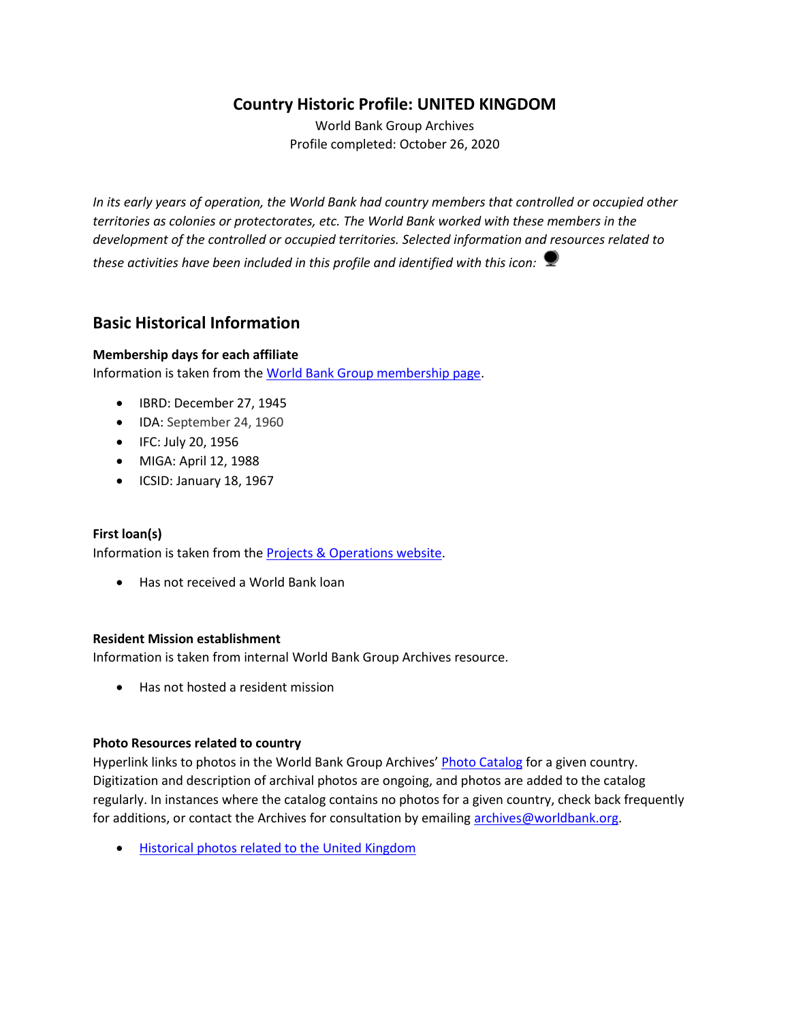# **Country Historic Profile: UNITED KINGDOM**

World Bank Group Archives Profile completed: October 26, 2020

*In its early years of operation, the World Bank had country members that controlled or occupied other territories as colonies or protectorates, etc. The World Bank worked with these members in the development of the controlled or occupied territories. Selected information and resources related to these activities have been included in this profile and identified with this icon:*

# **Basic Historical Information**

#### **Membership days for each affiliate**

Information is taken from th[e World Bank Group membership page.](https://www.worldbank.org/en/about/leadership/members#1)

- IBRD: December 27, 1945
- IDA: September 24, 1960
- IFC: July 20, 1956
- MIGA: April 12, 1988
- ICSID: January 18, 1967

#### **First loan(s)**

Information is taken from th[e Projects & Operations website.](https://projects.worldbank.org/)

• Has not received a World Bank loan

#### **Resident Mission establishment**

Information is taken from internal World Bank Group Archives resource.

• Has not hosted a resident mission

#### **Photo Resources related to country**

Hyperlink links to photos in the World Bank Group Archives' [Photo Catalog](https://archivesphotos.worldbank.org/en/about/archives/photo-gallery) for a given country. Digitization and description of archival photos are ongoing, and photos are added to the catalog regularly. In instances where the catalog contains no photos for a given country, check back frequently for additions, or contact the Archives for consultation by emailing [archives@worldbank.org.](mailto:archives@worldbank.org)

• [Historical photos related to the United Kingdom](https://archivesphotos.worldbank.org/en/about/archives/photo-gallery/photo-gallery-landing?qterm=United+Kingdom&x=0&y=0)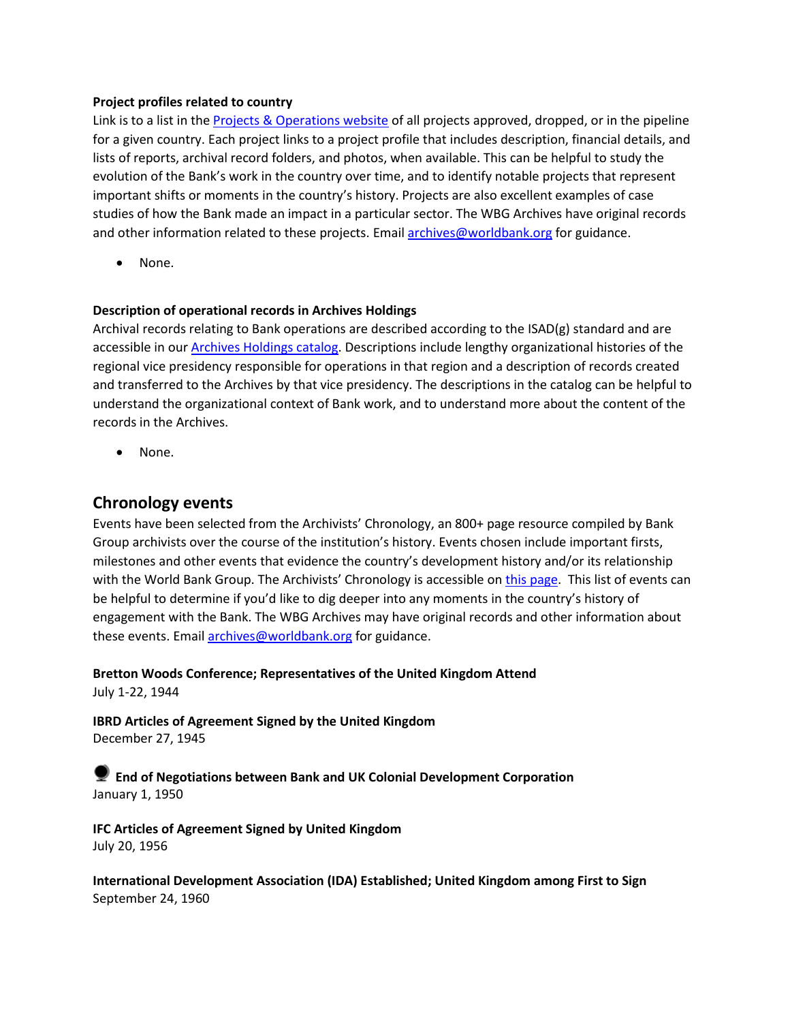#### **Project profiles related to country**

Link is to a list in the [Projects & Operations website](https://projects.worldbank.org/) of all projects approved, dropped, or in the pipeline for a given country. Each project links to a project profile that includes description, financial details, and lists of reports, archival record folders, and photos, when available. This can be helpful to study the evolution of the Bank's work in the country over time, and to identify notable projects that represent important shifts or moments in the country's history. Projects are also excellent examples of case studies of how the Bank made an impact in a particular sector. The WBG Archives have original records and other information related to these projects. Email [archives@worldbank.org](mailto:archives@worldbank.org) for guidance.

None.

#### **Description of operational records in Archives Holdings**

Archival records relating to Bank operations are described according to the ISAD(g) standard and are accessible in our **Archives Holdings catalog**. Descriptions include lengthy organizational histories of the regional vice presidency responsible for operations in that region and a description of records created and transferred to the Archives by that vice presidency. The descriptions in the catalog can be helpful to understand the organizational context of Bank work, and to understand more about the content of the records in the Archives.

• None.

#### **Chronology events**

Events have been selected from the Archivists' Chronology, an 800+ page resource compiled by Bank Group archivists over the course of the institution's history. Events chosen include important firsts, milestones and other events that evidence the country's development history and/or its relationship with the World Bank Group. The Archivists' Chronology is accessible on [this page.](https://www.worldbank.org/en/about/archives/history/timeline) This list of events can be helpful to determine if you'd like to dig deeper into any moments in the country's history of engagement with the Bank. The WBG Archives may have original records and other information about these events. Email [archives@worldbank.org](mailto:archives@worldbank.org) for guidance.

**Bretton Woods Conference; Representatives of the United Kingdom Attend** July 1-22, 1944

**IBRD Articles of Agreement Signed by the United Kingdom** December 27, 1945

**End of Negotiations between Bank and UK Colonial Development Corporation** January 1, 1950

**IFC Articles of Agreement Signed by United Kingdom** July 20, 1956

**International Development Association (IDA) Established; United Kingdom among First to Sign** September 24, 1960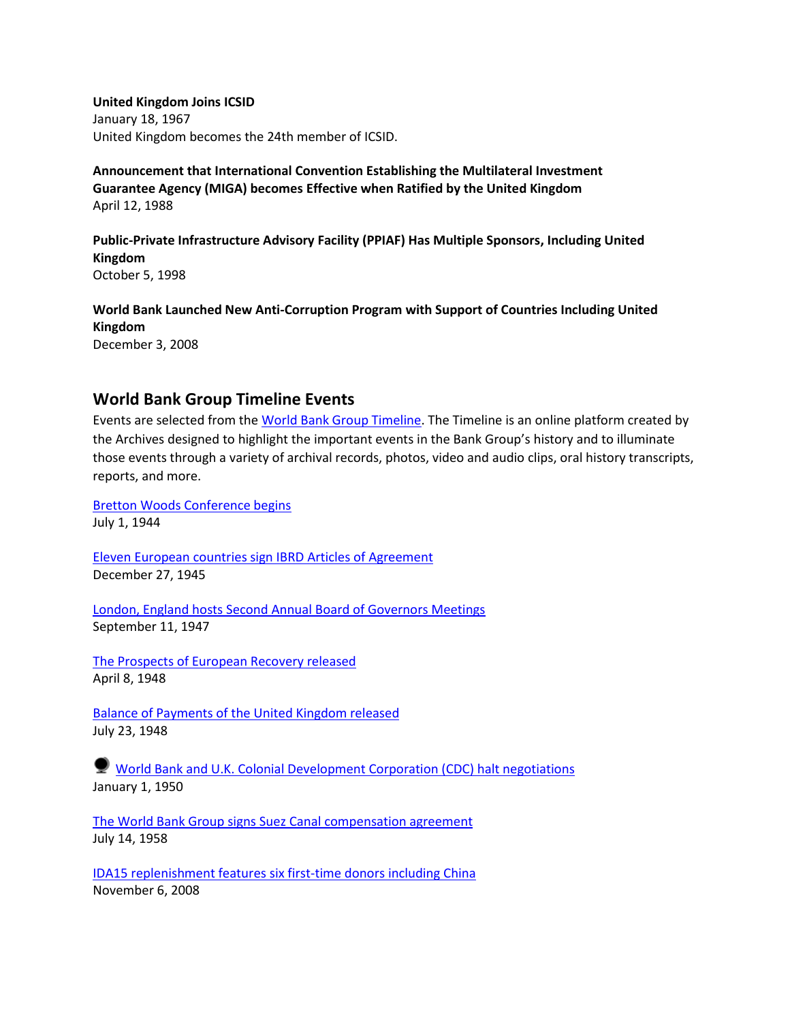**United Kingdom Joins ICSID** January 18, 1967 United Kingdom becomes the 24th member of ICSID.

**Announcement that International Convention Establishing the Multilateral Investment Guarantee Agency (MIGA) becomes Effective when Ratified by the United Kingdom** April 12, 1988

**Public-Private Infrastructure Advisory Facility (PPIAF) Has Multiple Sponsors, Including United Kingdom** October 5, 1998

**World Bank Launched New Anti-Corruption Program with Support of Countries Including United Kingdom** December 3, 2008

**World Bank Group Timeline Events**

Events are selected from th[e World Bank Group Timeline.](https://timeline.worldbank.org/#event-bretton-woods-conference-begins) The Timeline is an online platform created by the Archives designed to highlight the important events in the Bank Group's history and to illuminate those events through a variety of archival records, photos, video and audio clips, oral history transcripts, reports, and more.

[Bretton Woods Conference begins](https://timeline.worldbank.org/?field_timeline_target_id=All&combine=United%20KIngdom#event-bretton-woods-conference-begins) July 1, 1944

[Eleven European countries sign IBRD Articles of Agreement](https://timeline.worldbank.org/?field_timeline_target_id=All&combine=United%20KIngdom#event-eleven-european-countries-sign-ibrd-articles-of-agreement) December 27, 1945

[London, England hosts Second Annual Board of Governors Meetings](https://timeline.worldbank.org/?field_timeline_target_id=All&combine=United%20KIngdom#event-london-england-hosts-second-annual-board-of-governors-meetings) September 11, 1947

[The Prospects of European Recovery released](https://timeline.worldbank.org/?field_timeline_target_id=All&combine=United%20KIngdom#event-the-prospects-of-european-recovery-released) April 8, 1948

[Balance of Payments of the United Kingdom released](https://timeline.worldbank.org/?field_timeline_target_id=All&combine=United%20KIngdom#event-balance-of-payments-of-the-united-kingdom-released) July 23, 1948

[World Bank and U.K. Colonial Development Corporation \(CDC\) halt negotiations](https://timeline.worldbank.org/?field_timeline_target_id=All&combine=United%20KIngdom#event-world-bank-and-uk-colonial-development-corporation-cdc-halt-negotiations) January 1, 1950

[The World Bank Group signs Suez Canal compensation agreement](https://timeline.worldbank.org/?field_timeline_target_id=All&combine=United%20KIngdom#event-the-world-bank-group-signs-suez-canal-compensation-agreement) July 14, 1958

[IDA15 replenishment features six first-time donors including China](https://timeline.worldbank.org/?field_timeline_target_id=All&combine=United%20KIngdom#event-ida15-replenishment-features-six-first-time-donors-including-china) November 6, 2008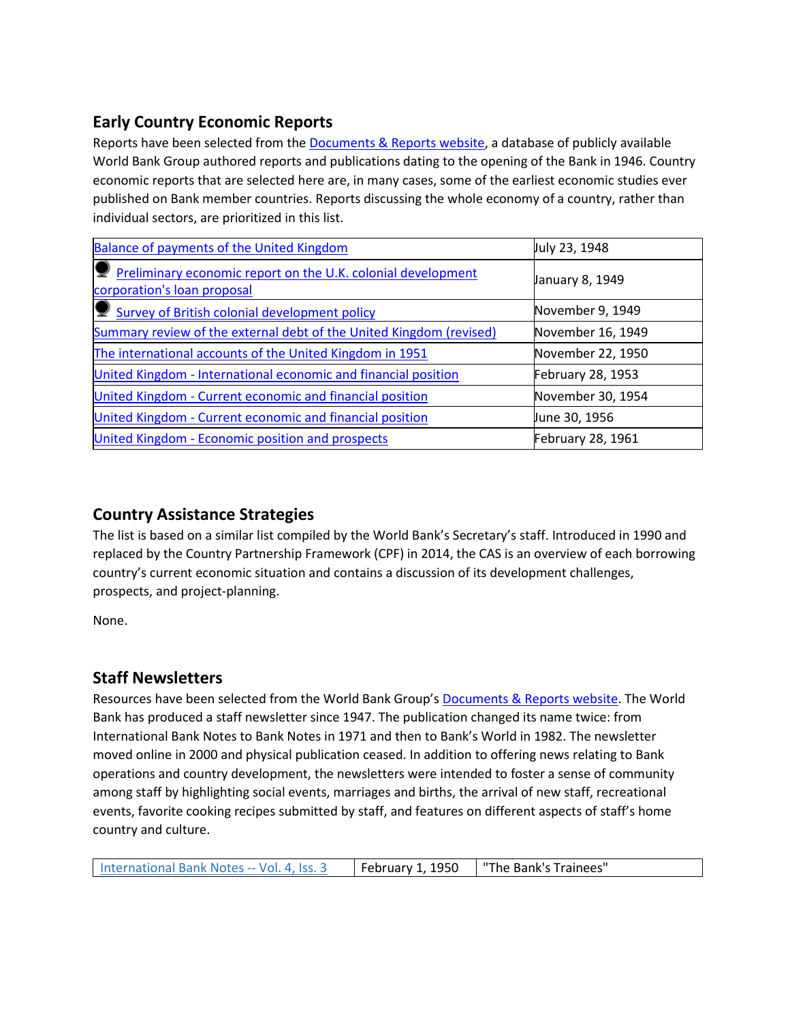# **Early Country Economic Reports**

Reports have been selected from the [Documents & Reports website,](https://documents.worldbank.org/) a database of publicly available World Bank Group authored reports and publications dating to the opening of the Bank in 1946. Country economic reports that are selected here are, in many cases, some of the earliest economic studies ever published on Bank member countries. Reports discussing the whole economy of a country, rather than individual sectors, are prioritized in this list.

| Balance of payments of the United Kingdom                                                     | July 23, 1948     |
|-----------------------------------------------------------------------------------------------|-------------------|
| P Preliminary economic report on the U.K. colonial development<br>corporation's loan proposal | January 8, 1949   |
| Survey of British colonial development policy                                                 | November 9, 1949  |
| Summary review of the external debt of the United Kingdom (revised)                           | November 16, 1949 |
| The international accounts of the United Kingdom in 1951                                      | November 22, 1950 |
| United Kingdom - International economic and financial position                                | February 28, 1953 |
| United Kingdom - Current economic and financial position                                      | November 30, 1954 |
| United Kingdom - Current economic and financial position                                      | June 30, 1956     |
| United Kingdom - Economic position and prospects                                              | February 28, 1961 |

# **Country Assistance Strategies**

The list is based on a similar list compiled by the World Bank's Secretary's staff. Introduced in 1990 and replaced by the Country Partnership Framework (CPF) in 2014, the CAS is an overview of each borrowing country's current economic situation and contains a discussion of its development challenges, prospects, and project-planning.

None.

# **Staff Newsletters**

Resources have been selected from the World Bank Group's [Documents & Reports website.](https://documents.worldbank.org/) The World Bank has produced a staff newsletter since 1947. The publication changed its name twice: from International Bank Notes to Bank Notes in 1971 and then to Bank's World in 1982. The newsletter moved online in 2000 and physical publication ceased. In addition to offering news relating to Bank operations and country development, the newsletters were intended to foster a sense of community among staff by highlighting social events, marriages and births, the arrival of new staff, recreational events, favorite cooking recipes submitted by staff, and features on different aspects of staff's home country and culture.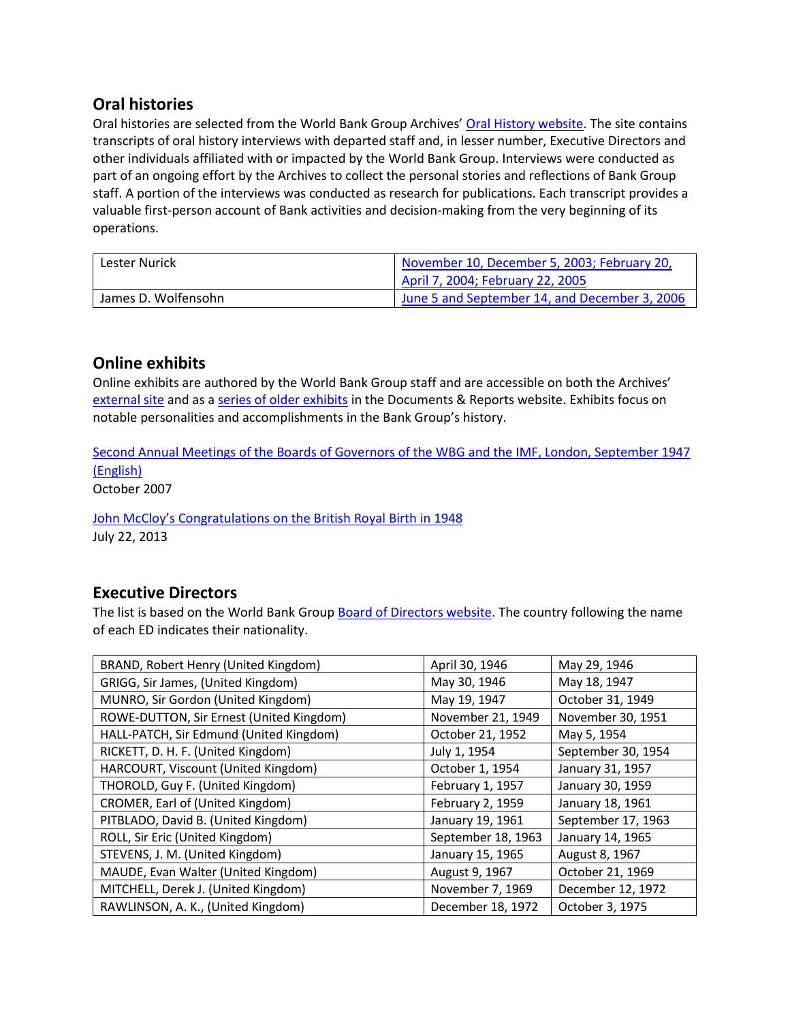# **Oral histories**

Oral histories are selected from the World Bank Group Archives' [Oral History website.](https://oralhistory.worldbank.org/) The site contains transcripts of oral history interviews with departed staff and, in lesser number, Executive Directors and other individuals affiliated with or impacted by the World Bank Group. Interviews were conducted as part of an ongoing effort by the Archives to collect the personal stories and reflections of Bank Group staff. A portion of the interviews was conducted as research for publications. Each transcript provides a valuable first-person account of Bank activities and decision-making from the very beginning of its operations.

| Lester Nurick       | November 10, December 5, 2003; February 20,   |  |
|---------------------|-----------------------------------------------|--|
|                     | April 7, 2004; February 22, 2005              |  |
| James D. Wolfensohn | June 5 and September 14, and December 3, 2006 |  |

### **Online exhibits**

Online exhibits are authored by the World Bank Group staff and are accessible on both the Archives' [external site](https://www.worldbank.org/en/about/archives/history/exhibits) and as a [series of older exhibits](https://documents.worldbank.org/en/publication/documents-reports/documentlist?colti=World%20Bank%20Group%20Archives%20exhibit%20series) in the Documents & Reports website. Exhibits focus on notable personalities and accomplishments in the Bank Group's history.

[Second Annual Meetings of the Boards of Governors of the](https://documents.worldbank.org/en/publication/documents-reports/documentdetail/704621467993174394/second-annual-meetings-of-the-boards-of-governors-of-the-wbg-and-the-imf-london-september-1947) WBG and the IMF, London, September 1947 [\(English\)](https://documents.worldbank.org/en/publication/documents-reports/documentdetail/704621467993174394/second-annual-meetings-of-the-boards-of-governors-of-the-wbg-and-the-imf-london-september-1947)

October 2007

[John McCloy's Congratulations on the British Royal](https://www.worldbank.org/en/about/archives/history/exhibits/john-mccloys-congratulations-on-the-british-royal-birth-in-1948) Birth in 1948 July 22, 2013

## **Executive Directors**

The list is based on the World Bank Group [Board of Directors website.](https://worldbankgroup.sharepoint.com/sites/wbsites/ExecutiveBoard/Pages/pc/About-the-Boards-05222019-155532/List-of-Executi-05222019-155839.aspx) The country following the name of each ED indicates their nationality.

| BRAND, Robert Henry (United Kingdom)     | April 30, 1946     | May 29, 1946       |
|------------------------------------------|--------------------|--------------------|
| GRIGG, Sir James, (United Kingdom)       | May 30, 1946       | May 18, 1947       |
| MUNRO, Sir Gordon (United Kingdom)       | May 19, 1947       | October 31, 1949   |
| ROWE-DUTTON, Sir Ernest (United Kingdom) | November 21, 1949  | November 30, 1951  |
| HALL-PATCH, Sir Edmund (United Kingdom)  | October 21, 1952   | May 5, 1954        |
| RICKETT, D. H. F. (United Kingdom)       | July 1, 1954       | September 30, 1954 |
| HARCOURT, Viscount (United Kingdom)      | October 1, 1954    | January 31, 1957   |
| THOROLD, Guy F. (United Kingdom)         | February 1, 1957   | January 30, 1959   |
| CROMER, Earl of (United Kingdom)         | February 2, 1959   | January 18, 1961   |
| PITBLADO, David B. (United Kingdom)      | January 19, 1961   | September 17, 1963 |
| ROLL, Sir Eric (United Kingdom)          | September 18, 1963 | January 14, 1965   |
| STEVENS, J. M. (United Kingdom)          | January 15, 1965   | August 8, 1967     |
| MAUDE, Evan Walter (United Kingdom)      | August 9, 1967     | October 21, 1969   |
| MITCHELL, Derek J. (United Kingdom)      | November 7, 1969   | December 12, 1972  |
| RAWLINSON, A. K., (United Kingdom)       | December 18, 1972  | October 3, 1975    |